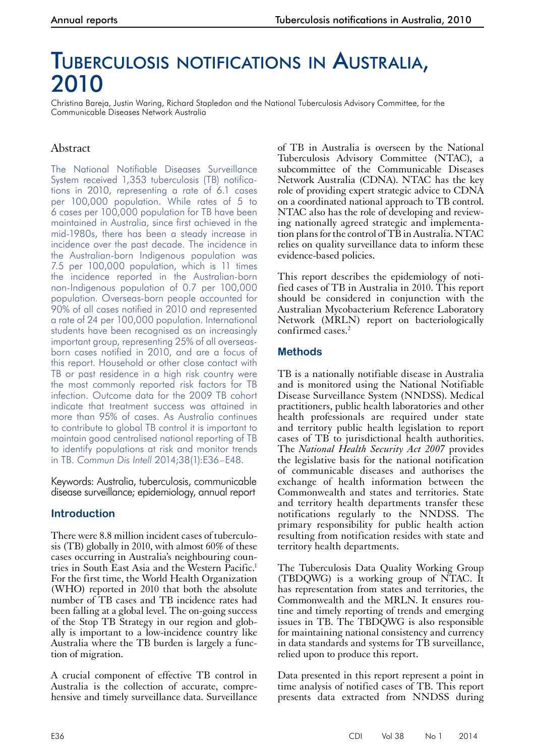# Tuberculosis notifications in Australia, 2010

Christina Bareja, Justin Waring, Richard Stapledon and the National Tuberculosis Advisory Committee, for the Communicable Diseases Network Australia

# Abstract

The National Notifiable Diseases Surveillance System received 1,353 tuberculosis (TB) notifications in 2010, representing a rate of 6.1 cases per 100,000 population. While rates of 5 to 6 cases per 100,000 population for TB have been maintained in Australia, since first achieved in the mid-1980s, there has been a steady increase in incidence over the past decade. The incidence in the Australian-born Indigenous population was 7.5 per 100,000 population, which is 11 times the incidence reported in the Australian-born non-Indigenous population of 0.7 per 100,000 population. Overseas-born people accounted for 90% of all cases notified in 2010 and represented a rate of 24 per 100,000 population. International students have been recognised as an increasingly important group, representing 25% of all overseasborn cases notified in 2010, and are a focus of this report. Household or other close contact with TB or past residence in a high risk country were the most commonly reported risk factors for TB infection. Outcome data for the 2009 TB cohort indicate that treatment success was attained in more than 95% of cases. As Australia continues to contribute to global TB control it is important to maintain good centralised national reporting of TB to identify populations at risk and monitor trends in TB. *Commun Dis Intell* 2014;38(1):E36–E48.

Keywords: Australia, tuberculosis, communicable disease surveillance; epidemiology, annual report

## **Introduction**

There were 8.8 million incident cases of tuberculosis (TB) globally in 2010, with almost 60% of these cases occurring in Australia's neighbouring countries in South East Asia and the Western Pacific.<sup>1</sup> For the first time, the World Health Organization (WHO) reported in 2010 that both the absolute number of TB cases and TB incidence rates had been falling at a global level. The on-going success of the Stop TB Strategy in our region and glob- ally is important to a low-incidence country like Australia where the TB burden is largely a function of migration.

A crucial component of effective TB control in Australia is the collection of accurate, comprehensive and timely surveillance data. Surveillance

of TB in Australia is overseen by the National Tuberculosis Advisory Committee (NTAC), a subcommittee of the Communicable Diseases Network Australia (CDNA). NTAC has the key role of providing expert strategic advice to CDNA on a coordinated national approach to TB control. NTAC also has the role of developing and reviewing nationally agreed strategic and implementation plans for the control of TB in Australia. NTAC relies on quality surveillance data to inform these evidence-based policies.

This report describes the epidemiology of notified cases of TB in Australia in 2010. This report should be considered in conjunction with the Australian Mycobacterium Reference Laboratory Network (MRLN) report on bacteriologically confirmed cases.2

### **Methods**

TB is a nationally notifiable disease in Australia and is monitored using the National Notifiable Disease Surveillance System (NNDSS). Medical practitioners, public health laboratories and other health professionals are required under state and territory public health legislation to report cases of TB to jurisdictional health authorities. The *National Health Security Act 2007* provides the legislative basis for the national notification of communicable diseases and authorises the exchange of health information between the Commonwealth and states and territories. State and territory health departments transfer these notifications regularly to the NNDSS. The primary responsibility for public health action resulting from notification resides with state and territory health departments.

The Tuberculosis Data Quality Working Group (TBDQWG) is a working group of NTAC. It has representation from states and territories, the Commonwealth and the MRLN. It ensures rou- tine and timely reporting of trends and emerging issues in TB. The TBDQWG is also responsible for maintaining national consistency and currency in data standards and systems for TB surveillance, relied upon to produce this report.

Data presented in this report represent a point in time analysis of notified cases of TB. This report presents data extracted from NNDSS during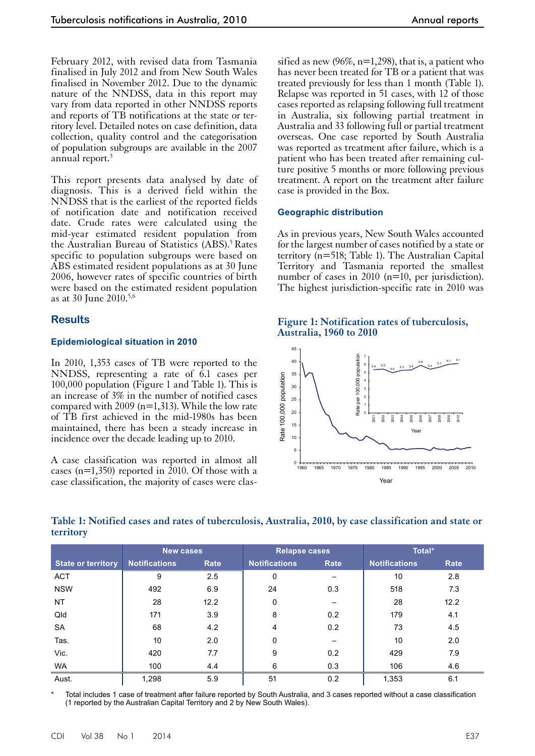February 2012, with revised data from Tasmania finalised in July 2012 and from New South Wales finalised in November 2012. Due to the dynamic nature of the NNDSS, data in this report may vary from data reported in other NNDSS reports and reports of TB notifications at the state or territory level. Detailed notes on case definition, data collection, quality control and the categorisation of population subgroups are available in the 2007 annual report.<sup>3</sup>

This report presents data analysed by date of diagnosis. This is a derived field within the NNDSS that is the earliest of the reported fields of notification date and notification received date. Crude rates were calculated using the mid-year estimated resident population from the Australian Bureau of Statistics (ABS).<sup>5</sup> Rates specific to population subgroups were based on ABS estimated resident populations as at 30 June 2006, however rates of specific countries of birth were based on the estimated resident population as at 30 June 2010.5,6

#### **Results**

#### **Epidemiological situation in 2010**

In 2010, 1,353 cases of TB were reported to the NNDSS, representing a rate of 6.1 cases per 100,000 population (Figure 1 and Table 1). This is an increase of 3% in the number of notified cases compared with 2009 (n=1,313). While the low rate of TB first achieved in the mid-1980s has been maintained, there has been a steady increase in incidence over the decade leading up to 2010.

A case classification was reported in almost all cases (n=1,350) reported in 2010. Of those with a case classification, the majority of cases were clas-

sified as new  $(96\%, n=1,298)$ , that is, a patient who has never been treated for TB or a patient that was treated previously for less than 1 month (Table 1). Relapse was reported in 51 cases, with 12 of those cases reported as relapsing following full treatment in Australia, six following partial treatment in Australia and 33 following full or partial treatment overseas. One case reported by South Australia was reported as treatment after failure, which is a patient who has been treated after remaining culture positive 5 months or more following previous treatment. A report on the treatment after failure case is provided in the Box.

#### **Geographic distribution**

As in previous years, New South Wales accounted for the largest number of cases notified by a state or territory (n=518; Table 1). The Australian Capital Territory and Tasmania reported the smallest number of cases in 2010 (n=10, per jurisdiction). The highest jurisdiction-specific rate in 2010 was





#### **Table 1: Notified cases and rates of tuberculosis, Australia, 2010, by case classification and state or territory**

|                           | <b>New cases</b>     |      | <b>Relapse cases</b> |      | Total*               |      |
|---------------------------|----------------------|------|----------------------|------|----------------------|------|
| <b>State or territory</b> | <b>Notifications</b> | Rate | <b>Notifications</b> | Rate | <b>Notifications</b> | Rate |
| <b>ACT</b>                | 9                    | 2.5  | 0                    |      | 10                   | 2.8  |
| <b>NSW</b>                | 492                  | 6.9  | 24                   | 0.3  | 518                  | 7.3  |
| <b>NT</b>                 | 28                   | 12.2 | 0                    |      | 28                   | 12.2 |
| Qld                       | 171                  | 3.9  | 8                    | 0.2  | 179                  | 4.1  |
| <b>SA</b>                 | 68                   | 4.2  | 4                    | 0.2  | 73                   | 4.5  |
| Tas.                      | 10                   | 2.0  | 0                    |      | 10                   | 2.0  |
| Vic.                      | 420                  | 7.7  | 9                    | 0.2  | 429                  | 7.9  |
| WA                        | 100                  | 4.4  | 6                    | 0.3  | 106                  | 4.6  |
| Aust.                     | 1,298                | 5.9  | 51                   | 0.2  | 1,353                | 6.1  |

Total includes 1 case of treatment after failure reported by South Australia, and 3 cases reported without a case classification (1 reported by the Australian Capital Territory and 2 by New South Wales).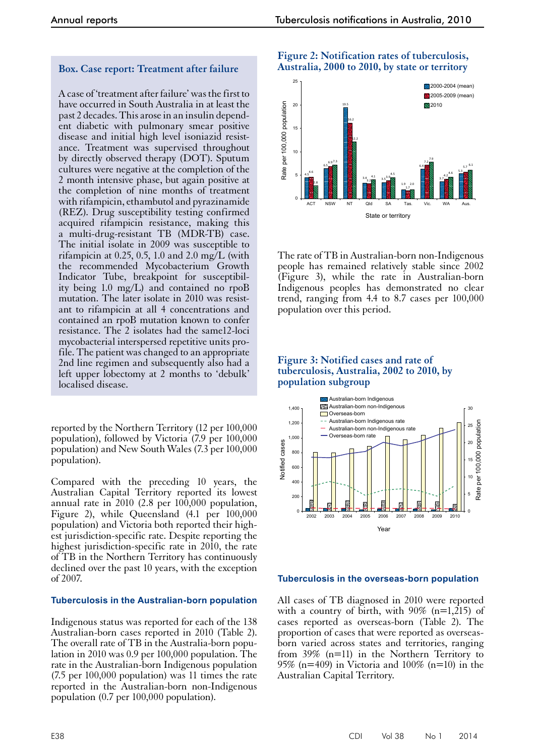#### **Box. Case report: Treatment after failure**

A case of 'treatment after failure' was the first to have occurred in South Australia in at least the past 2 decades. This arose in an insulin dependent diabetic with pulmonary smear positive disease and initial high level isoniazid resistance. Treatment was supervised throughout by directly observed therapy (DOT). Sputum cultures were negative at the completion of the 2 month intensive phase, but again positive at the completion of nine months of treatment with rifampicin, ethambutol and pyrazinamide (REZ). Drug susceptibility testing confirmed acquired rifampicin resistance, making this a multi-drug-resistant TB (MDR-TB) case. The initial isolate in 2009 was susceptible to rifampicin at 0.25, 0.5, 1.0 and 2.0 mg/L (with the recommended Mycobacterium Growth Indicator Tube, breakpoint for susceptibility being 1.0 mg/L) and contained no rpoB mutation. The later isolate in 2010 was resistant to rifampicin at all 4 concentrations and contained an rpoB mutation known to confer resistance. The 2 isolates had the same12-loci mycobacterial interspersed repetitive units profile. The patient was changed to an appropriate 2nd line regimen and subsequently also had a left upper lobectomy at 2 months to 'debulk' localised disease.

reported by the Northern Territory (12 per 100,000 population), followed by Victoria (7.9 per 100,000 population) and New South Wales (7.3 per 100,000 population).

Compared with the preceding 10 years, the Australian Capital Territory reported its lowest annual rate in 2010 (2.8 per 100,000 population, Figure 2), while Queensland (4.1 per 100,000 population) and Victoria both reported their highest jurisdiction-specific rate. Despite reporting the highest jurisdiction-specific rate in 2010, the rate of TB in the Northern Territory has continuously declined over the past 10 years, with the exception of 2007.

#### **Tuberculosis in the Australian-born population**

Indigenous status was reported for each of the 138 Australian-born cases reported in 2010 (Table 2). The overall rate of TB in the Australia-born population in 2010 was 0.9 per 100,000 population. The rate in the Australian-born Indigenous population (7.5 per 100,000 population) was 11 times the rate reported in the Australian-born non-Indigenous population (0.7 per 100,000 population).





The rate of TB in Australian-born non-Indigenous people has remained relatively stable since 2002 (Figure 3), while the rate in Australian-born Indigenous peoples has demonstrated no clear trend, ranging from 4.4 to 8.7 cases per 100,000 population over this period.

#### **Figure 3: Notified cases and rate of tuberculosis, Australia, 2002 to 2010, by population subgroup**



#### **Tuberculosis in the overseas-born population**

All cases of TB diagnosed in 2010 were reported with a country of birth, with  $90\%$  (n=1,215) of cases reported as overseas-born (Table 2). The proportion of cases that were reported as overseasborn varied across states and territories, ranging from 39% (n=11) in the Northern Territory to 95% (n=409) in Victoria and  $100\%$  (n=10) in the Australian Capital Territory.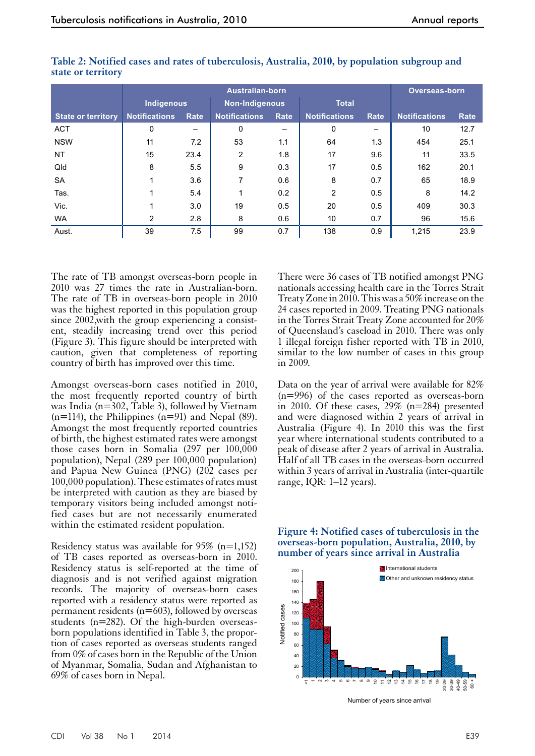|                           |                      |      | <b>Australian-born</b> |      |                      |      | <b>Overseas-born</b> |      |
|---------------------------|----------------------|------|------------------------|------|----------------------|------|----------------------|------|
|                           | Indigenous           |      | <b>Non-Indigenous</b>  |      | <b>Total</b>         |      |                      |      |
| <b>State or territory</b> | <b>Notifications</b> | Rate | <b>Notifications</b>   | Rate | <b>Notifications</b> | Rate | <b>Notifications</b> | Rate |
| <b>ACT</b>                | 0                    |      | $\Omega$               |      | 0                    |      | 10                   | 12.7 |
| <b>NSW</b>                | 11                   | 7.2  | 53                     | 1.1  | 64                   | 1.3  | 454                  | 25.1 |
| <b>NT</b>                 | 15                   | 23.4 | 2                      | 1.8  | 17                   | 9.6  | 11                   | 33.5 |
| Qld                       | 8                    | 5.5  | 9                      | 0.3  | 17                   | 0.5  | 162                  | 20.1 |
| <b>SA</b>                 |                      | 3.6  | 7                      | 0.6  | 8                    | 0.7  | 65                   | 18.9 |
| Tas.                      |                      | 5.4  |                        | 0.2  | $\overline{2}$       | 0.5  | 8                    | 14.2 |
| Vic.                      |                      | 3.0  | 19                     | 0.5  | 20                   | 0.5  | 409                  | 30.3 |
| <b>WA</b>                 | $\overline{2}$       | 2.8  | 8                      | 0.6  | 10                   | 0.7  | 96                   | 15.6 |
| Aust.                     | 39                   | 7.5  | 99                     | 0.7  | 138                  | 0.9  | 1.215                | 23.9 |

| Table 2: Notified cases and rates of tuberculosis, Australia, 2010, by population subgroup and |  |  |  |  |
|------------------------------------------------------------------------------------------------|--|--|--|--|
| state or territory                                                                             |  |  |  |  |

The rate of TB amongst overseas-born people in 2010 was 27 times the rate in Australian-born. The rate of TB in overseas-born people in 2010 was the highest reported in this population group since 2002,with the group experiencing a consistent, steadily increasing trend over this period (Figure 3). This figure should be interpreted with caution, given that completeness of reporting country of birth has improved over this time.

Amongst overseas-born cases notified in 2010, the most frequently reported country of birth was India ( $n=302$ , Table 3), followed by Vietnam  $(n=114)$ , the Philippines  $(n=91)$  and Nepal (89). Amongst the most frequently reported countries of birth, the highest estimated rates were amongst those cases born in Somalia (297 per 100,000 population), Nepal (289 per 100,000 population) and Papua New Guinea (PNG) (202 cases per 100,000 population). These estimates of rates must be interpreted with caution as they are biased by temporary visitors being included amongst notified cases but are not necessarily enumerated within the estimated resident population.

Residency status was available for 95% (n=1,152) of TB cases reported as overseas-born in 2010. Residency status is self-reported at the time of diagnosis and is not verified against migration records. The majority of overseas-born cases reported with a residency status were reported as permanent residents ( $n=603$ ), followed by overseas students (n=282). Of the high-burden overseasborn populations identified in Table 3, the propor- tion of cases reported as overseas students ranged from 0% of cases born in the Republic of the Union of Myanmar, Somalia, Sudan and Afghanistan to 69% of cases born in Nepal.

There were 36 cases of TB notified amongst PNG nationals accessing health care in the Torres Strait Treaty Zone in 2010. This was a 50% increase on the 24 cases reported in 2009. Treating PNG nationals in the Torres Strait Treaty Zone accounted for 20% of Queensland's caseload in 2010. There was only 1 illegal foreign fisher reported with TB in 2010, similar to the low number of cases in this group in 2009.

Data on the year of arrival were available for 82% (n=996) of the cases reported as overseas-born in 2010. Of these cases, 29% (n=284) presented and were diagnosed within 2 years of arrival in Australia (Figure 4). In 2010 this was the first year where international students contributed to a peak of disease after 2 years of arrival in Australia. Half of all TB cases in the overseas-born occurred within 3 years of arrival in Australia (inter-quartile range, IQR: 1–12 years).

**Figure 4: Notified cases of tuberculosis in the overseas-born population, Australia, 2010, by number of years since arrival in Australia**



Number of years since arrival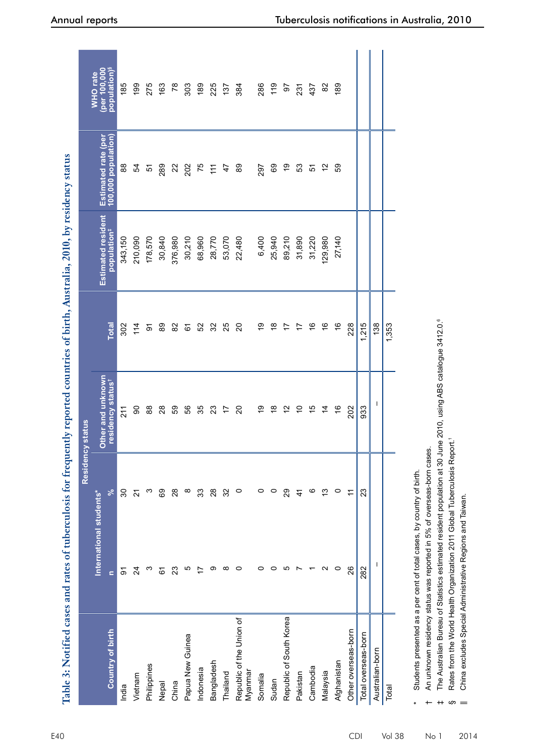|                                     |                                     |         | Residency status                                   |                |                                                      |                                            |                                                      |
|-------------------------------------|-------------------------------------|---------|----------------------------------------------------|----------------|------------------------------------------------------|--------------------------------------------|------------------------------------------------------|
| <b>Country of birth</b>             | International students*<br>$\equiv$ | ಸ       | Other and unknown<br>residency status <sup>+</sup> | <b>Total</b>   | <b>Estimated resident</b><br>population <sup>#</sup> | Estimated rate (per<br>100,000 population) | population) <sup>§</sup><br>(per 100,000<br>WHO rate |
| India                               | ଚ                                   | 30      | 211                                                | 302            | 343,150                                              | 88                                         | 185                                                  |
| Vietnam                             | $\overline{24}$                     | ಸ       | 90                                                 | 114            | 210,090                                              | 54                                         | 199                                                  |
| Philippines                         | ო                                   | ო       | $88$                                               | ଚ              | 178,570                                              | 5                                          | 275                                                  |
| Nepal                               | 6                                   | 89      | $\overline{28}$                                    | 89             | 30,840                                               | 289                                        | 163                                                  |
| China                               | 23                                  | $^{28}$ | 69                                                 | 82             | 376,980                                              | $\mathbf{z}$                               | 78                                                   |
| Papua New Guinea                    | Ю                                   | ∞       | 56                                                 | 61             | 30,210                                               | 202                                        | 303                                                  |
| Indonesia                           |                                     | 33      | 35                                                 | 52             | 68,960                                               | 75                                         | 189                                                  |
| Bangladesh                          | တ                                   | 28      | 23                                                 | 32             | 28,770                                               | $\tilde{t}$                                | 225                                                  |
| Thailand                            | $\infty$                            | 32      | 17                                                 | 25             | 53,070                                               | 47                                         | 137                                                  |
| Republic of the Union of<br>Myanmar | $\circ$                             | 0       | $\overline{20}$                                    | $\overline{c}$ | 22,480                                               | 89                                         | 384                                                  |
| Somalia                             | 0                                   | 0       | စ္                                                 | စ္             | 6,400                                                | 297                                        | 286                                                  |
| Sudan                               | 0                                   | 0       | $\frac{8}{5}$                                      | $\frac{8}{1}$  | 25,940                                               | 69                                         | 119                                                  |
| Republic of South Korea             | LO                                  | 29      | 57                                                 | 17             | 89,210                                               | $\overline{9}$                             | 50                                                   |
| Pakistan                            |                                     | 4       | $\overline{C}$                                     | 17             | 31,890                                               | 53                                         | 231                                                  |
| Cambodia                            |                                     | ဖ       | 15                                                 | $\frac{6}{5}$  | 31,220                                               | 57                                         | 437                                                  |
| Malaysia                            | $\scriptstyle\mathtt{N}$            | 13      | $\overline{4}$                                     | $\frac{6}{5}$  | 129,980                                              | $\frac{2}{3}$                              | 82                                                   |
| Afghanistan                         | $\circ$                             | 0       | $\frac{6}{5}$                                      | $\frac{6}{5}$  | 27,140                                               | S9                                         | 189                                                  |
| Other overseas-born                 | 26                                  | Ή       | 202                                                | 228            |                                                      |                                            |                                                      |
| Total overseas-born                 | 282                                 | 23      | 933                                                | 1,215          |                                                      |                                            |                                                      |
| Australian-born                     | I.                                  |         | $\mathbf{I}$                                       | 138            |                                                      |                                            |                                                      |
| Total                               |                                     |         |                                                    | 1,353          |                                                      |                                            |                                                      |
|                                     |                                     |         |                                                    |                |                                                      |                                            |                                                      |

Students presented as a per cent of total cases, by country of birth. Students presented as a per cent of total cases, by country of birth.

An unknown residency status was reported in 5% of overseas-born cases. An unknown residency status was reported in 5% of overseas-born cases. †

The Australian Bureau of Statistics estimated resident population at 30 June 2010, using ABS catalogue 3412.0.<sup>6</sup> The Australian Bureau of Statistics estimated resident population at 30 June 2010, using ABS catalogue 3412.0.6

Rates from the World Health Organization 2011 Global Tuberculosis Report.1 Rates from the World Health Organization 2011 Global Tuberculosis Report.1

China excludes Special Administrative Regions and Taiwan. || China excludes Special Administrative Regions and Taiwan.

\*

‡

§

 $\overline{\phantom{0}}$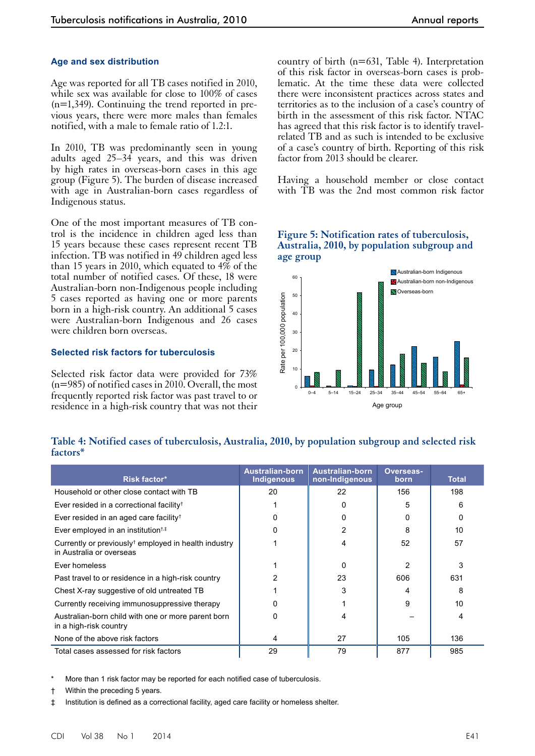#### **Age and sex distribution**

Age was reported for all TB cases notified in 2010, while sex was available for close to 100% of cases (n=1,349). Continuing the trend reported in previous years, there were more males than females notified, with a male to female ratio of 1.2:1.

In 2010, TB was predominantly seen in young adults aged 25–34 years, and this was driven by high rates in overseas-born cases in this age group (Figure 5). The burden of disease increased with age in Australian-born cases regardless of Indigenous status.

One of the most important measures of TB control is the incidence in children aged less than 15 years because these cases represent recent TB infection. TB was notified in 49 children aged less than 15 years in 2010, which equated to 4% of the total number of notified cases. Of these, 18 were Australian-born non-Indigenous people including 5 cases reported as having one or more parents born in a high-risk country. An additional 5 cases were Australian-born Indigenous and 26 cases were children born overseas.

#### **Selected risk factors for tuberculosis**

Selected risk factor data were provided for 73% (n=985) of notified cases in 2010. Overall, the most frequently reported risk factor was past travel to or residence in a high-risk country that was not their

country of birth (n=631, Table 4). Interpretation of this risk factor in overseas-born cases is problematic. At the time these data were collected there were inconsistent practices across states and territories as to the inclusion of a case's country of birth in the assessment of this risk factor. NTAC has agreed that this risk factor is to identify travelrelated TB and as such is intended to be exclusive of a case's country of birth. Reporting of this risk factor from 2013 should be clearer.

Having a household member or close contact with TB was the 2nd most common risk factor

**Figure 5: Notification rates of tuberculosis, Australia, 2010, by population subgroup and** 



#### **Table 4: Notified cases of tuberculosis, Australia, 2010, by population subgroup and selected risk factors\***

| Risk factor*                                                                                 | <b>Australian-born</b><br>Indigenous | <b>Australian-born</b><br>non-Indigenous | Overseas-<br>born | <b>Total</b> |
|----------------------------------------------------------------------------------------------|--------------------------------------|------------------------------------------|-------------------|--------------|
| Household or other close contact with TB                                                     | 20                                   | 22                                       | 156               | 198          |
| Ever resided in a correctional facility <sup>†</sup>                                         |                                      | 0                                        | 5                 | 6            |
| Ever resided in an aged care facility <sup>†</sup>                                           | 0                                    | 0                                        | 0                 | 0            |
| Ever employed in an institution <sup>t,#</sup>                                               | <sup>0</sup>                         | $\overline{2}$                           | 8                 | 10           |
| Currently or previously <sup>†</sup> employed in health industry<br>in Australia or overseas |                                      | 4                                        | 52                | 57           |
| Ever homeless                                                                                |                                      | $\Omega$                                 | 2                 | 3            |
| Past travel to or residence in a high-risk country                                           |                                      | 23                                       | 606               | 631          |
| Chest X-ray suggestive of old untreated TB                                                   |                                      | 3                                        |                   | 8            |
| Currently receiving immunosuppressive therapy                                                | 0                                    |                                          | 9                 | 10           |
| Australian-born child with one or more parent born<br>in a high-risk country                 | O                                    | 4                                        |                   | 4            |
| None of the above risk factors                                                               | 4                                    | 27                                       | 105               | 136          |
| Total cases assessed for risk factors                                                        | 29                                   | 79                                       | 877               | 985          |

More than 1 risk factor may be reported for each notified case of tuberculosis.

† Within the preceding 5 years.

‡ Institution is defined as a correctional facility, aged care facility or homeless shelter.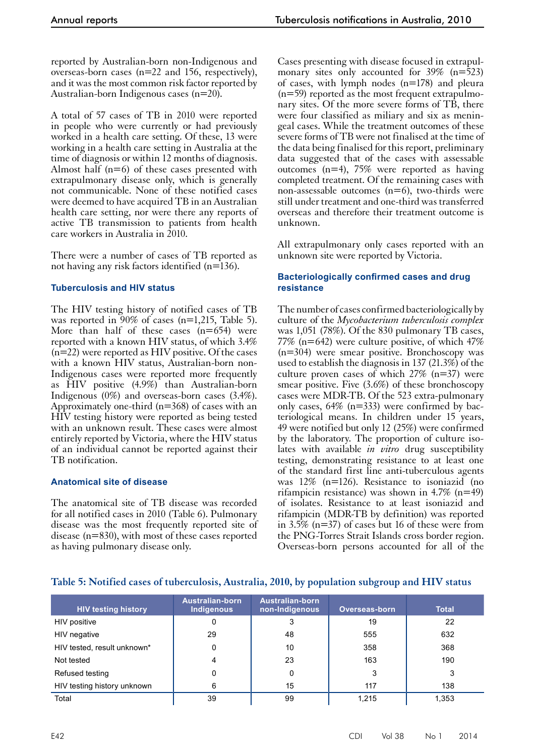reported by Australian-born non-Indigenous and overseas-born cases (n=22 and 156, respectively), and it was the most common risk factor reported by Australian-born Indigenous cases (n=20).

A total of 57 cases of TB in 2010 were reported in people who were currently or had previously worked in a health care setting. Of these, 13 were working in a health care setting in Australia at the time of diagnosis or within 12 months of diagnosis. Almost half  $(n=6)$  of these cases presented with extrapulmonary disease only, which is generally not communicable. None of these notified cases were deemed to have acquired TB in an Australian health care setting, nor were there any reports of active TB transmission to patients from health care workers in Australia in 2010.

There were a number of cases of TB reported as not having any risk factors identified (n=136).

#### **Tuberculosis and HIV status**

The HIV testing history of notified cases of TB was reported in  $90\%$  of cases (n=1,215, Table 5). More than half of these cases  $(n=654)$  were reported with a known HIV status, of which 3.4% (n=22) were reported as HIV positive. Of the cases with a known HIV status, Australian-born non-Indigenous cases were reported more frequently as HIV positive (4.9%) than Australian-born Indigenous (0%) and overseas-born cases (3.4%). Approximately one-third ( $n=368$ ) of cases with an HIV testing history were reported as being tested with an unknown result. These cases were almost entirely reported by Victoria, where the HIV status of an individual cannot be reported against their TB notification.

#### **Anatomical site of disease**

The anatomical site of TB disease was recorded for all notified cases in 2010 (Table 6). Pulmonary disease was the most frequently reported site of disease (n=830), with most of these cases reported as having pulmonary disease only.

Cases presenting with disease focused in extrapulmonary sites only accounted for  $39\%$  (n=523) of cases, with lymph nodes (n=178) and pleura  $(n=59)$  reported as the most frequent extrapulmonary sites. Of the more severe forms of TB, there were four classified as miliary and six as meningeal cases. While the treatment outcomes of these severe forms of TB were not finalised at the time of the data being finalised for this report, preliminary data suggested that of the cases with assessable outcomes (n=4), 75% were reported as having completed treatment. Of the remaining cases with non-assessable outcomes  $(n=6)$ , two-thirds were still under treatment and one-third was transferred overseas and therefore their treatment outcome is unknown.

All extrapulmonary only cases reported with an unknown site were reported by Victoria.

#### **Bacteriologically confirmed cases and drug resistance**

The number of cases confirmed bacteriologically by culture of the *Mycobacterium tuberculosis complex* was 1,051 (78%). Of the 830 pulmonary TB cases, 77% (n=642) were culture positive, of which 47% (n=304) were smear positive. Bronchoscopy was used to establish the diagnosis in 137 (21.3%) of the culture proven cases of which 27% (n=37) were smear positive. Five (3.6%) of these bronchoscopy cases were MDR-TB. Of the 523 extra-pulmonary only cases, 64% (n=333) were confirmed by bacteriological means. In children under 15 years, 49 were notified but only 12 (25%) were confirmed by the laboratory. The proportion of culture iso- lates with available *in vitro* drug susceptibility testing, demonstrating resistance to at least one of the standard first line anti-tuberculous agents was 12% (n=126). Resistance to isoniazid (no rifampicin resistance) was shown in 4.7% ( $n=49$ ) of isolates. Resistance to at least isoniazid and rifampicin (MDR-TB by definition) was reported in 3.5% (n=37) of cases but 16 of these were from the PNG-Torres Strait Islands cross border region. Overseas-born persons accounted for all of the

#### **Table 5: Notified cases of tuberculosis, Australia, 2010, by population subgroup and HIV status**

| <b>HIV testing history</b>  | <b>Australian-born</b><br><b>Indigenous</b> | <b>Australian-born</b><br>non-Indigenous | <b>Overseas-born</b> | <b>Total</b> |
|-----------------------------|---------------------------------------------|------------------------------------------|----------------------|--------------|
| HIV positive                | 0                                           | 3                                        | 19                   | 22           |
| HIV negative                | 29                                          | 48                                       | 555                  | 632          |
| HIV tested, result unknown* | 0                                           | 10                                       | 358                  | 368          |
| Not tested                  | 4                                           | 23                                       | 163                  | 190          |
| Refused testing             | 0                                           | 0                                        | 3                    | 3            |
| HIV testing history unknown | 6                                           | 15                                       | 117                  | 138          |
| Total                       | 39                                          | 99                                       | 1.215                | 1,353        |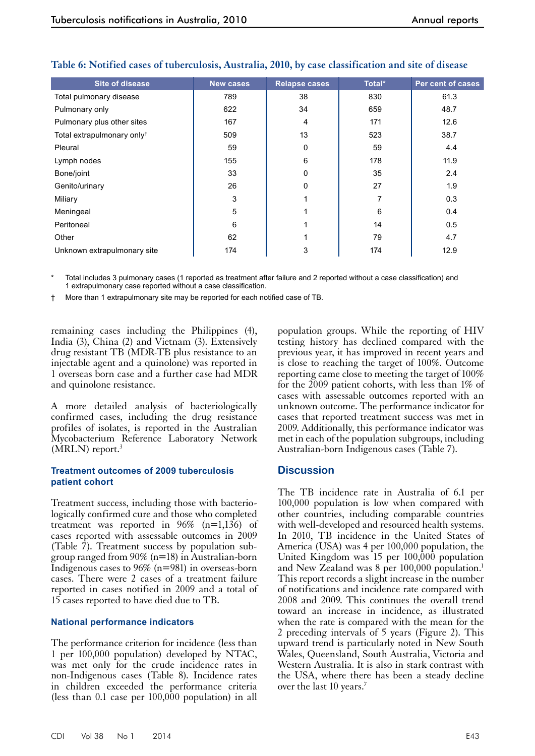| <b>Site of disease</b>                 | <b>New cases</b> | <b>Relapse cases</b> | Total* | Per cent of cases |
|----------------------------------------|------------------|----------------------|--------|-------------------|
| Total pulmonary disease                | 789              | 38                   | 830    | 61.3              |
| Pulmonary only                         | 622              | 34                   | 659    | 48.7              |
| Pulmonary plus other sites             | 167              | 4                    | 171    | 12.6              |
| Total extrapulmonary only <sup>+</sup> | 509              | 13                   | 523    | 38.7              |
| Pleural                                | 59               | 0                    | 59     | 4.4               |
| Lymph nodes                            | 155              | 6                    | 178    | 11.9              |
| Bone/joint                             | 33               | $\mathbf 0$          | 35     | 2.4               |
| Genito/urinary                         | 26               | 0                    | 27     | 1.9               |
| Miliary                                | 3                |                      | 7      | 0.3               |
| Meningeal                              | 5                |                      | 6      | 0.4               |
| Peritoneal                             | 6                |                      | 14     | 0.5               |
| Other                                  | 62               |                      | 79     | 4.7               |
| Unknown extrapulmonary site            | 174              | 3                    | 174    | 12.9              |

#### **Table 6: Notified cases of tuberculosis, Australia, 2010, by case classification and site of disease**

Total includes 3 pulmonary cases (1 reported as treatment after failure and 2 reported without a case classification) and 1 extrapulmonary case reported without a case classification.

† More than 1 extrapulmonary site may be reported for each notified case of TB.

remaining cases including the Philippines (4), India (3), China (2) and Vietnam (3). Extensively drug resistant TB (MDR-TB plus resistance to an injectable agent and a quinolone) was reported in 1 overseas born case and a further case had MDR and quinolone resistance.

A more detailed analysis of bacteriologically confirmed cases, including the drug resistance profiles of isolates, is reported in the Australian Mycobacterium Reference Laboratory Network (MRLN) report.<sup>3</sup>

#### **Treatment outcomes of 2009 tuberculosis patient cohort**

Treatment success, including those with bacterio- logically confirmed cure and those who completed treatment was reported in  $96\%$  (n=1,136) of cases reported with assessable outcomes in 2009 (Table 7). Treatment success by population subgroup ranged from  $90\%$  (n=18) in Australian-born Indigenous cases to  $96\%$  (n=981) in overseas-born cases. There were 2 cases of a treatment failure reported in cases notified in 2009 and a total of 15 cases reported to have died due to TB.

#### **National performance indicators**

The performance criterion for incidence (less than 1 per 100,000 population) developed by NTAC, was met only for the crude incidence rates in non-Indigenous cases (Table 8). Incidence rates in children exceeded the performance criteria (less than 0.1 case per  $100,000$  population) in all

population groups. While the reporting of HIV testing history has declined compared with the previous year, it has improved in recent years and is close to reaching the target of 100%. Outcome reporting came close to meeting the target of 100% for the 2009 patient cohorts, with less than 1% of cases with assessable outcomes reported with an unknown outcome. The performance indicator for cases that reported treatment success was met in 2009. Additionally, this performance indicator was met in each of the population subgroups, including Australian-born Indigenous cases (Table 7).

#### **Discussion**

The TB incidence rate in Australia of 6.1 per 100,000 population is low when compared with other countries, including comparable countries with well-developed and resourced health systems. In 2010, TB incidence in the United States of America (USA) was 4 per 100,000 population, the United Kingdom was  $15$  per  $100,000$  population and New Zealand was  $8$  per 100,000 population.<sup>1</sup> This report records a slight increase in the number of notifications and incidence rate compared with 2008 and 2009. This continues the overall trend toward an increase in incidence, as illustrated when the rate is compared with the mean for the 2 preceding intervals of 5 years (Figure 2). This upward trend is particularly noted in New South Wales, Queensland, South Australia, Victoria and Western Australia. It is also in stark contrast with the USA, where there has been a steady decline over the last 10 years.<sup>7</sup>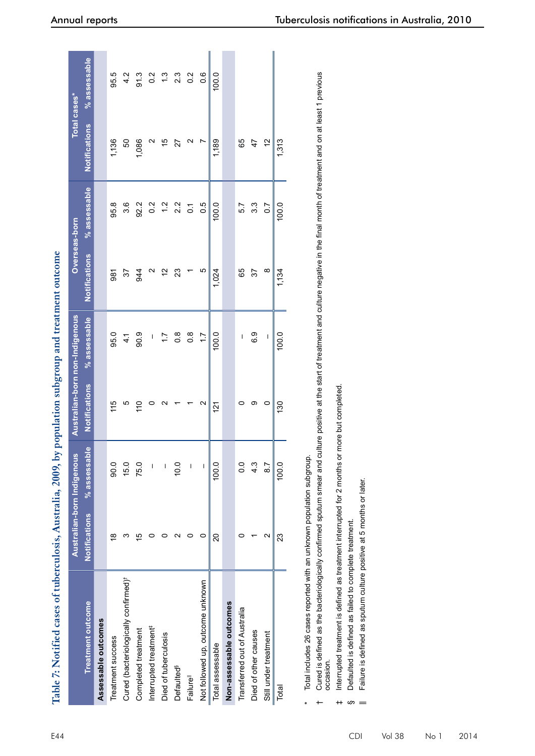| Table 7: Notified cases of tuberculosis, Australia, 2009, by population subgroup and treatment outcome |                          |                            |                                |                  |                      |                |                      |                     |
|--------------------------------------------------------------------------------------------------------|--------------------------|----------------------------|--------------------------------|------------------|----------------------|----------------|----------------------|---------------------|
|                                                                                                        |                          | Australian-born Indigenous | Australian-born non-Indigenous |                  |                      | Overseas-born  |                      | <b>Total cases*</b> |
| <b>Treatment outcome</b>                                                                               | <b>Notifications</b>     | % assessable               | <b>Notifications</b>           | % assessable     | <b>Notifications</b> | % assessable   | <b>Notifications</b> | % assessable        |
| Assessable outcomes                                                                                    |                          |                            |                                |                  |                      |                |                      |                     |
| Treatment success                                                                                      | $\frac{8}{1}$            | 0.06                       | 115                            | 95.0             | 981                  | 95.8           | 1,136                | 95.5                |
| Cured (bacteriologically confirmed) <sup>†</sup>                                                       |                          | 15.0                       | ယ                              | $\frac{4}{1}$    | 57                   | 3.6            | SO                   | 4.2                 |
| Completed treatment                                                                                    | Ю                        | 75.0                       | 110                            | 90.9             | 944                  | 92.2           | 1,086                | 91.3                |
| Interrupted treatment <sup>#</sup>                                                                     |                          |                            |                                | I                |                      | 0.2            |                      | 0.2                 |
| Died of tuberculosis                                                                                   |                          |                            | N                              | $\overline{1}$   | 51                   | 1.2            | 15                   | $\frac{3}{2}$       |
| Defaulted <sup>§</sup>                                                                                 |                          | 0.0                        |                                | $0.\overline{8}$ | 23                   | 2.2            | 27                   | $2.\overline{3}$    |
| Failure <sup>ll</sup>                                                                                  |                          | I                          |                                | $0.\overline{8}$ |                      | $\overline{C}$ | Ν                    | $0.\overline{2}$    |
| Not followed up, outcome unknown                                                                       | o                        | I                          | $\mathbf{\sim}$                | $\overline{11}$  | Ю                    | 0.5            |                      | 0.6                 |
| Total assessable                                                                                       | 20                       | 100.0                      | $\frac{12}{1}$                 | 100.0            | 1,024                | 100.0          | 1,189                | 100.0               |
| Non-assessable outcomes                                                                                |                          |                            |                                |                  |                      |                |                      |                     |
| Transferred out of Australia                                                                           |                          | $\overline{0}$ .           | っ                              | ı                | 65                   | 5.7            | 65                   |                     |
| Died of other causes                                                                                   |                          | 4.3                        | တ                              | 6.9              | 57                   | 3.3            | 47                   |                     |
| Still under treatment                                                                                  | $\scriptstyle\mathtt{N}$ | $\overline{8.7}$           | 0                              | I                | ∞                    | 0.7            | 5                    |                     |
| Total                                                                                                  | 23                       | 100.0                      | 130                            | 100.0            | 1,134                | 100.0          | 1,313                |                     |
|                                                                                                        |                          |                            |                                |                  |                      |                |                      |                     |

Total includes 26 cases reported with an unknown population subgroup. Total includes 26 cases reported with an unknown population subgroup.

\*

Cured is defined as the bacteriologically confirmed sputum smear and culture positive at the start of treatment and culture negative in the final month of treatment and on at least 1 previous  $\dagger$  Cured is defined as the bacteriologically confirmed sputum smear and culture positive at the start of treatment and on at least 1 previous occasion. occasion.

Interrupted treatment is defined as treatment interrupted for 2 months or more but completed. ‡ Interrupted treatment is defined as treatment interrupted for 2 months or more but completed.

Defaulted is defined as failed to complete treatment. § Defaulted is defined as failed to complete treatment.

w.  $\overline{a}$ 

Failure is defined as sputum culture positive at 5 months or later. || Failure is defined as sputum culture positive at 5 months or later.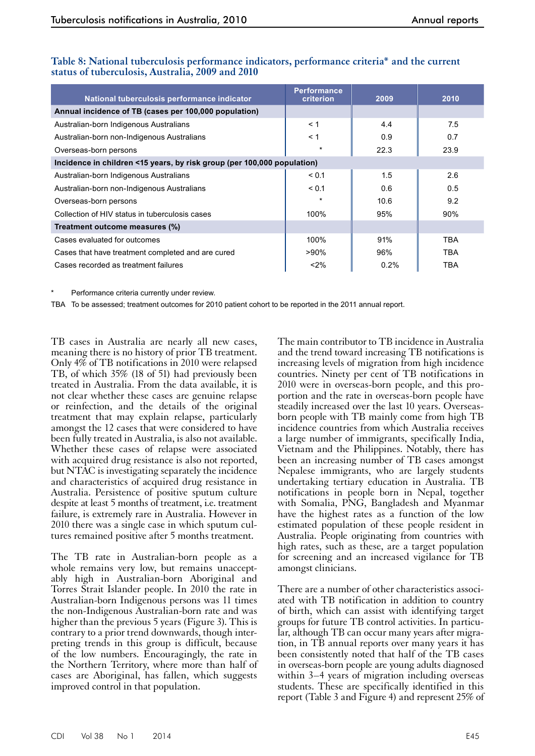| National tuberculosis performance indicator                             | <b>Performance</b><br>criterion | 2009 | 2010       |
|-------------------------------------------------------------------------|---------------------------------|------|------------|
| Annual incidence of TB (cases per 100,000 population)                   |                                 |      |            |
| Australian-born Indigenous Australians                                  | < 1                             | 4.4  | 7.5        |
| Australian-born non-Indigenous Australians                              | < 1                             | 0.9  | 0.7        |
| Overseas-born persons                                                   | $\star$                         | 22.3 | 23.9       |
| Incidence in children <15 years, by risk group (per 100,000 population) |                                 |      |            |
| Australian-born Indigenous Australians                                  | < 0.1                           | 1.5  | 2.6        |
| Australian-born non-Indigenous Australians                              | < 0.1                           | 0.6  | 0.5        |
| Overseas-born persons                                                   | $\star$                         | 10.6 | 9.2        |
| Collection of HIV status in tuberculosis cases                          | 100%                            | 95%  | 90%        |
| Treatment outcome measures (%)                                          |                                 |      |            |
| Cases evaluated for outcomes                                            | 100%                            | 91%  | TBA        |
| Cases that have treatment completed and are cured                       | >90%                            | 96%  | TBA        |
| Cases recorded as treatment failures                                    | < 2%                            | 0.2% | <b>TBA</b> |

#### **Table 8: National tuberculosis performance indicators, performance criteria\* and the current status of tuberculosis, Australia, 2009 and 2010**

Performance criteria currently under review.

TBA To be assessed; treatment outcomes for 2010 patient cohort to be reported in the 2011 annual report.

TB cases in Australia are nearly all new cases, meaning there is no history of prior TB treatment. Only 4% of TB notifications in 2010 were relapsed TB, of which 35% (18 of 51) had previously been treated in Australia. From the data available, it is not clear whether these cases are genuine relapse or reinfection, and the details of the original treatment that may explain relapse, particularly amongst the 12 cases that were considered to have been fully treated in Australia, is also not available. Whether these cases of relapse were associated with acquired drug resistance is also not reported, but NTAC is investigating separately the incidence and characteristics of acquired drug resistance in Australia. Persistence of positive sputum culture despite at least 5 months of treatment, i.e. treatment failure, is extremely rare in Australia. However in 2010 there was a single case in which sputum cultures remained positive after 5 months treatment.

The TB rate in Australian-born people as a whole remains very low, but remains unacceptably high in Australian-born Aboriginal and Torres Strait Islander people. In 2010 the rate in Australian-born Indigenous persons was 11 times the non-Indigenous Australian-born rate and was higher than the previous 5 years (Figure 3). This is contrary to a prior trend downwards, though inter- preting trends in this group is difficult, because of the low numbers. Encouragingly, the rate in the Northern Territory, where more than half of cases are Aboriginal, has fallen, which suggests improved control in that population.

The main contributor to TB incidence in Australia and the trend toward increasing TB notifications is increasing levels of migration from high incidence countries. Ninety per cent of TB notifications in 2010 were in overseas-born people, and this proportion and the rate in overseas-born people have steadily increased over the last 10 years. Overseasborn people with TB mainly come from high TB incidence countries from which Australia receives a large number of immigrants, specifically India, Vietnam and the Philippines. Notably, there has been an increasing number of TB cases amongst Nepalese immigrants, who are largely students undertaking tertiary education in Australia. TB notifications in people born in Nepal, together with Somalia, PNG, Bangladesh and Myanmar have the highest rates as a function of the low estimated population of these people resident in Australia. People originating from countries with high rates, such as these, are a target population for screening and an increased vigilance for TB amongst clinicians.

There are a number of other characteristics associated with TB notification in addition to country of birth, which can assist with identifying target groups for future TB control activities. In particu- lar, although TB can occur many years after migra- tion, in TB annual reports over many years it has been consistently noted that half of the TB cases in overseas-born people are young adults diagnosed within 3–4 years of migration including overseas students. These are specifically identified in this report (Table 3 and Figure 4) and represent 25% of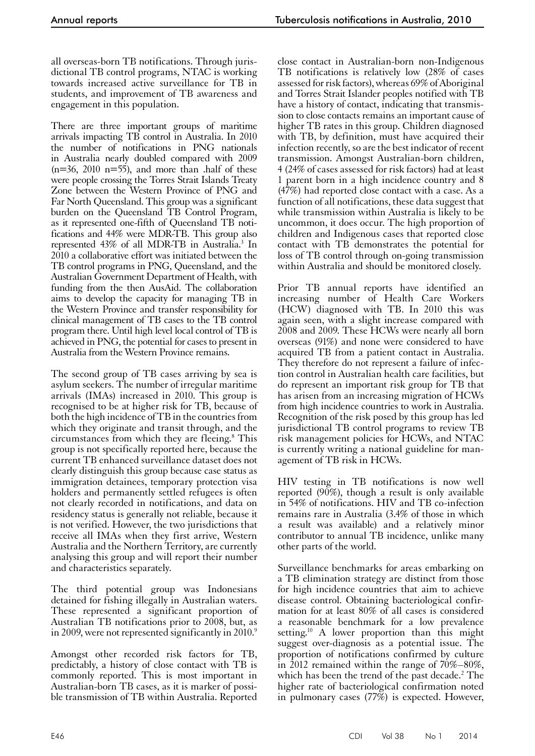all overseas-born TB notifications. Through jurisdictional TB control programs, NTAC is working towards increased active surveillance for TB in students, and improvement of TB awareness and engagement in this population.

There are three important groups of maritime arrivals impacting TB control in Australia. In 2010 the number of notifications in PNG nationals in Australia nearly doubled compared with 2009  $(n=36, 2010 n=55)$ , and more than .half of these were people crossing the Torres Strait Islands Treaty Zone between the Western Province of PNG and Far North Queensland. This group was a significant burden on the Queensland TB Control Program, as it represented one-fifth of Queensland TB notifications and 44% were MDR-TB. This group also represented 43% of all MDR-TB in Australia.3 In 2010 a collaborative effort was initiated between the TB control programs in PNG, Queensland, and the Australian Government Department of Health, with funding from the then AusAid. The collaboration aims to develop the capacity for managing TB in the Western Province and transfer responsibility for clinical management of TB cases to the TB control program there. Until high level local control of TB is achieved in PNG, the potential for cases to present in Australia from the Western Province remains.

The second group of TB cases arriving by sea is asylum seekers. The number of irregular maritime arrivals (IMAs) increased in 2010. This group is recognised to be at higher risk for TB, because of both the high incidence of TB in the countries from which they originate and transit through, and the circumstances from which they are fleeing.8 This group is not specifically reported here, because the current TB enhanced surveillance dataset does not clearly distinguish this group because case status as immigration detainees, temporary protection visa holders and permanently settled refugees is often not clearly recorded in notifications, and data on residency status is generally not reliable, because it is not verified. However, the two jurisdictions that receive all IMAs when they first arrive, Western Australia and the Northern Territory, are currently analysing this group and will report their number and characteristics separately.

The third potential group was Indonesians detained for fishing illegally in Australian waters. These represented a significant proportion of Australian TB notifications prior to 2008, but, as in 2009, were not represented significantly in 2010.9

Amongst other recorded risk factors for TB, predictably, a history of close contact with TB is commonly reported. This is most important in Australian-born TB cases, as it is marker of possible transmission of TB within Australia. Reported

close contact in Australian-born non-Indigenous TB notifications is relatively low (28% of cases assessed for risk factors), whereas 69% of Aboriginal and Torres Strait Islander peoples notified with TB have a history of contact, indicating that transmission to close contacts remains an important cause of higher TB rates in this group. Children diagnosed with TB, by definition, must have acquired their infection recently, so are the best indicator of recent transmission. Amongst Australian-born children, 4 (24% of cases assessed for risk factors) had at least 1 parent born in a high incidence country and 8 (47%) had reported close contact with a case. As a function of all notifications, these data suggest that while transmission within Australia is likely to be uncommon, it does occur. The high proportion of children and Indigenous cases that reported close contact with TB demonstrates the potential for loss of TB control through on-going transmission within Australia and should be monitored closely.

Prior TB annual reports have identified an increasing number of Health Care Workers (HCW) diagnosed with TB. In 2010 this was again seen, with a slight increase compared with 2008 and 2009. These HCWs were nearly all born overseas (91%) and none were considered to have acquired TB from a patient contact in Australia. They therefore do not represent a failure of infection control in Australian health care facilities, but do represent an important risk group for TB that has arisen from an increasing migration of HCWs from high incidence countries to work in Australia. Recognition of the risk posed by this group has led jurisdictional TB control programs to review TB risk management policies for HCWs, and NTAC is currently writing a national guideline for man- agement of TB risk in HCWs.

HIV testing in TB notifications is now well reported  $(90\%)$ , though a result is only available in 54% of notifications. HIV and TB co-infection remains rare in Australia (3.4% of those in which a result was available) and a relatively minor contributor to annual TB incidence, unlike many other parts of the world.

Surveillance benchmarks for areas embarking on a TB elimination strategy are distinct from those for high incidence countries that aim to achieve disease control. Obtaining bacteriological confir- mation for at least 80% of all cases is considered a reasonable benchmark for a low prevalence setting.<sup>10</sup> A lower proportion than this might suggest over-diagnosis as a potential issue. The proportion of notifications confirmed by culture in 2012 remained within the range of 70%–80%, which has been the trend of the past decade.<sup>2</sup> The higher rate of bacteriological confirmation noted in pulmonary cases (77%) is expected. However,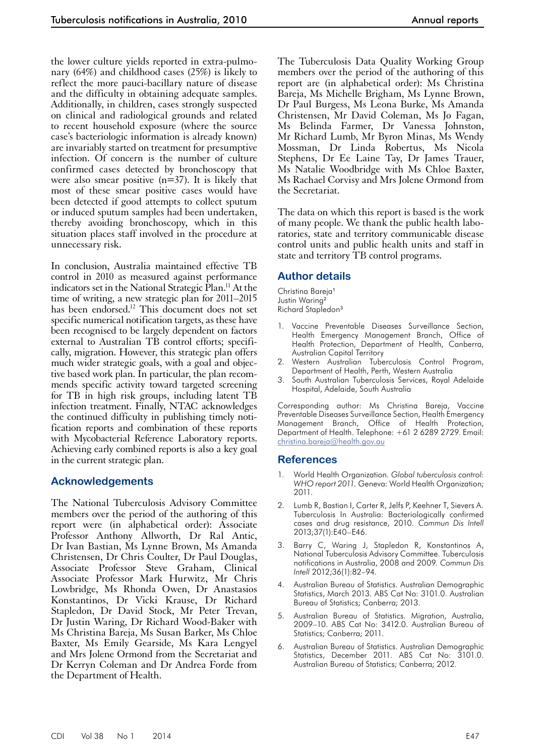the lower culture yields reported in extra-pulmonary (64%) and childhood cases (25%) is likely to reflect the more pauci-bacillary nature of disease and the difficulty in obtaining adequate samples. Additionally, in children, cases strongly suspected on clinical and radiological grounds and related to recent household exposure (where the source case's bacteriologic information is already known) are invariably started on treatment for presumptive infection. Of concern is the number of culture confirmed cases detected by bronchoscopy that were also smear positive  $(n=37)$ . It is likely that most of these smear positive cases would have been detected if good attempts to collect sputum or induced sputum samples had been undertaken, thereby avoiding bronchoscopy, which in this situation places staff involved in the procedure at unnecessary risk.

In conclusion, Australia maintained effective TB control in 2010 as measured against performance indicators set in the National Strategic Plan.11 At the time of writing, a new strategic plan for 2011–2015 has been endorsed.<sup>12</sup> This document does not set specific numerical notification targets, as these have been recognised to be largely dependent on factors external to Australian TB control efforts; specifically, migration. However, this strategic plan offers much wider strategic goals, with a goal and objective based work plan. In particular, the plan recommends specific activity toward targeted screening for TB in high risk groups, including latent TB infection treatment. Finally, NTAC acknowledges the continued difficulty in publishing timely noti- fication reports and combination of these reports with Mycobacterial Reference Laboratory reports. Achieving early combined reports is also a key goal in the current strategic plan.

#### **Acknowledgements**

The National Tuberculosis Advisory Committee members over the period of the authoring of this report were (in alphabetical order): Associate Professor Anthony Allworth, Dr Ral Antic, Dr Ivan Bastian, Ms Lynne Brown, Ms Amanda Christensen, Dr Chris Coulter, Dr Paul Douglas, Associate Professor Steve Graham, Clinical Associate Professor Mark Hurwitz, Mr Chris Lowbridge, Ms Rhonda Owen, Dr Anastasios Konstantinos, Dr Vicki Krause, Dr Richard Stapledon, Dr David Stock, Mr Peter Trevan, Dr Justin Waring, Dr Richard Wood-Baker with Ms Christina Bareja, Ms Susan Barker, Ms Chloe Baxter, Ms Emily Gearside, Ms Kara Lengyel and Mrs Jolene Ormond from the Secretariat and Dr Kerryn Coleman and Dr Andrea Forde from the Department of Health.

The Tuberculosis Data Quality Working Group members over the period of the authoring of this report are (in alphabetical order): Ms Christina Bareja, Ms Michelle Brigham, Ms Lynne Brown, Dr Paul Burgess, Ms Leona Burke, Ms Amanda Christensen, Mr David Coleman, Ms Jo Fagan, Ms Belinda Farmer, Dr Vanessa Johnston, Mr Richard Lumb, Mr Byron Minas, Ms Wendy Mossman, Dr Linda Robertus, Ms Nicola Stephens, Dr Ee Laine Tay, Dr James Trauer, Ms Natalie Woodbridge with Ms Chloe Baxter, Ms Rachael Corvisy and Mrs Jolene Ormond from the Secretariat.

The data on which this report is based is the work of many people. We thank the public health laboratories, state and territory communicable disease control units and public health units and staff in state and territory TB control programs.

#### **Author details**

Christina Bareja<sup>1</sup> Justin Waring<sup>2</sup> Richard Stapledon<sup>3</sup>

- 1. Vaccine Preventable Diseases Surveillance Section, Health Emergency Management Branch, Office of Health Protection, Department of Health, Canberra, Australian Capital Territory
- 2. Western Australian Tuberculosis Control Program, Department of Health, Perth, Western Australia
- 3. South Australian Tuberculosis Services, Royal Adelaide Hospital, Adelaide, South Australia

Corresponding author: Ms Christina Bareja, Vaccine Preventable Diseases Surveillance Section, Health Emergency Management Branch, Office of Health Protection, Department of Health. Telephone: +61 2 6289 2729. Email: [christina.bareja@health.gov.au](mailto:christina.bareja@health.gov.au)

#### **References**

- 1. World Health Organization. *Global tuberculosis control: WHO report 2011.* Geneva: World Health Organization; 2011.
- 2. Lumb R, Bastian I, Carter R, Jelfs P, Keehner T, Sievers A. Tuberculosis In Australia: Bacteriologically confirmed cases and drug resistance, 2010. *Commun Dis Intell* 2013;37(1):E40–E46.
- 3. Barry C, Waring J, Stapledon R, Konstantinos A, National Tuberculosis Advisory Committee. Tuberculosis notifications in Australia, 2008 and 2009. *Commun Dis Intell* 2012;36(1):82–94.
- 4. Australian Bureau of Statistics. Australian Demographic Statistics, March 2013. ABS Cat No: 3101.0. Australian Bureau of Statistics; Canberra; 2013.
- 5. Australian Bureau of Statistics. Migration, Australia, 2009–10. ABS Cat No: 3412.0. Australian Bureau of Statistics; Canberra; 2011.
- 6. Australian Bureau of Statistics. Australian Demographic Statistics, December 2011. ABS Cat No: 3101.0. Australian Bureau of Statistics; Canberra; 2012.